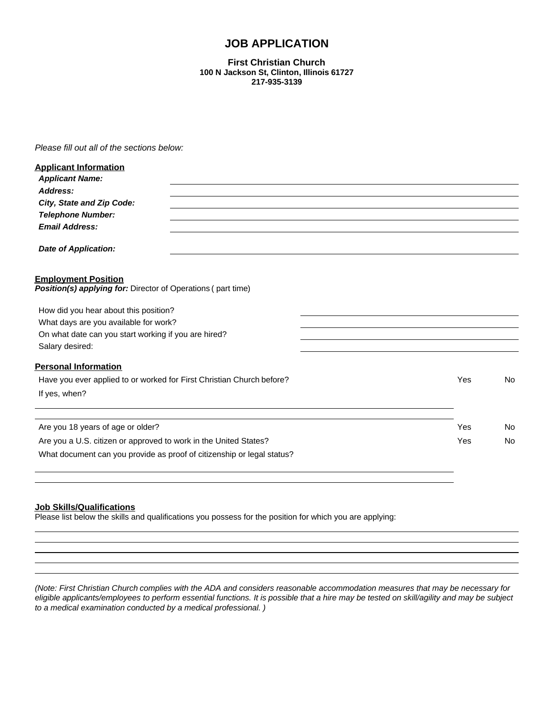# **JOB APPLICATION**

#### **First Christian Church 100 N Jackson St, Clinton, Illinois 61727 217-935-3139**

*Please fill out all of the sections below:*

| <b>Applicant Information</b>                                                               |     |     |
|--------------------------------------------------------------------------------------------|-----|-----|
| <b>Applicant Name:</b>                                                                     |     |     |
| Address:                                                                                   |     |     |
| City, State and Zip Code:                                                                  |     |     |
| <b>Telephone Number:</b>                                                                   |     |     |
| <b>Email Address:</b>                                                                      |     |     |
| Date of Application:                                                                       |     |     |
| <b>Employment Position</b><br>Position(s) applying for: Director of Operations (part time) |     |     |
| How did you hear about this position?                                                      |     |     |
| What days are you available for work?                                                      |     |     |
| On what date can you start working if you are hired?                                       |     |     |
| Salary desired:                                                                            |     |     |
| <b>Personal Information</b>                                                                |     |     |
| Have you ever applied to or worked for First Christian Church before?                      | Yes | No. |
| If yes, when?                                                                              |     |     |
|                                                                                            |     |     |
| Are you 18 years of age or older?                                                          | Yes | No. |
| Are you a U.S. citizen or approved to work in the United States?                           | Yes | No  |
| What document can you provide as proof of citizenship or legal status?                     |     |     |
|                                                                                            |     |     |

## **Job Skills/Qualifications**

Please list below the skills and qualifications you possess for the position for which you are applying:

*(Note: First Christian Church complies with the ADA and considers reasonable accommodation measures that may be necessary for eligible applicants/employees to perform essential functions. It is possible that a hire may be tested on skill/agility and may be subject to a medical examination conducted by a medical professional. )*